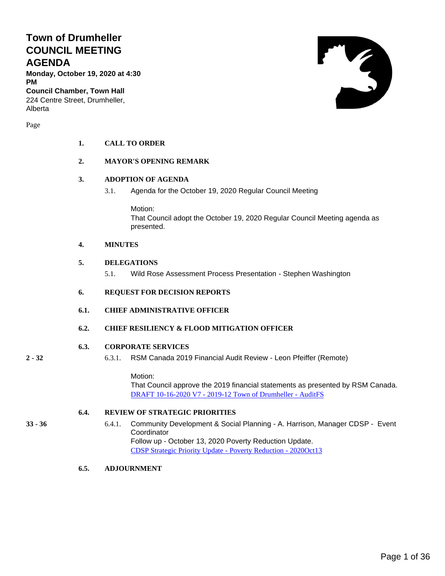# **Town of Drumheller COUNCIL MEETING AGENDA**

**Monday, October 19, 2020 at 4:30 PM**

**Council Chamber, Town Hall** 224 Centre Street, Drumheller, Alberta

Page

### **1. CALL TO ORDER**

### **2. MAYOR'S OPENING REMARK**

### **3. ADOPTION OF AGENDA**

3.1. Agenda for the October 19, 2020 Regular Council Meeting

Motion: That Council adopt the October 19, 2020 Regular Council Meeting agenda as presented.

### **4. MINUTES**

### **5. DELEGATIONS**

5.1. Wild Rose Assessment Process Presentation - Stephen Washington

### **6. REQUEST FOR DECISION REPORTS**

**6.1. CHIEF ADMINISTRATIVE OFFICER**

### **6.2. CHIEF RESILIENCY & FLOOD MITIGATION OFFICER**

### **6.3. CORPORATE SERVICES**

- 
- **2 - 32** 6.3.1. RSM Canada 2019 Financial Audit Review Leon Pfeiffer (Remote)

Motion: That Council approve the 2019 financial statements as presented by RSM Canada. DRAFT 10-16-2020 V7 - [2019-12 Town of Drumheller -](#page-1-0) AuditFS

### **6.4. REVIEW OF STRATEGIC PRIORITIES**

- **33 - 36** 6.4.1. Community Development & Social Planning A. Harrison, Manager CDSP Event **Coordinator** Follow up - October 13, 2020 Poverty Reduction Update. [CDSP Strategic Priority Update -](#page-32-0) Poverty Reduction - 2020Oct13
	- **6.5. ADJOURNMENT**

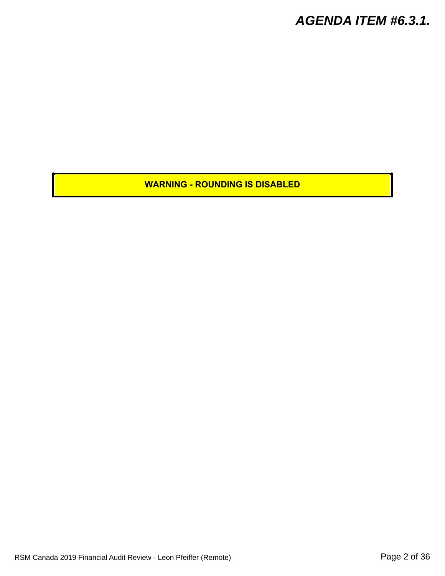<span id="page-1-0"></span>**WARNING - ROUNDING IS DISABLED**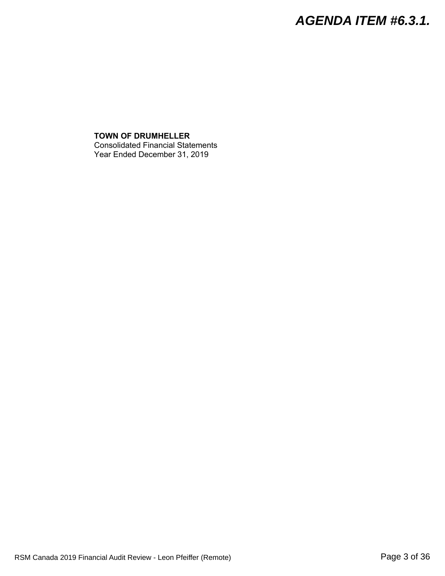**TOWN OF DRUMHELLER** Consolidated Financial Statements Year Ended December 31, 2019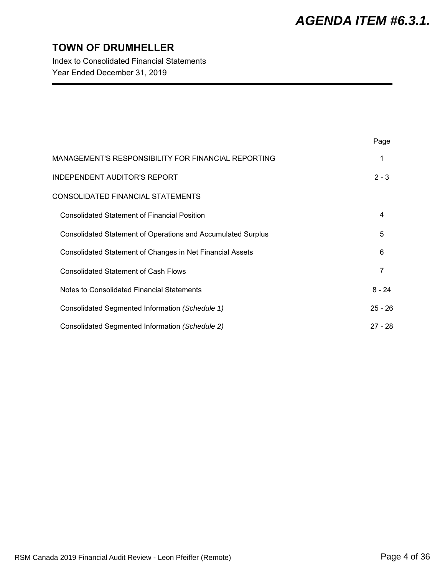$\mathbf{P}$ 

# **TOWN OF DRUMHELLER**

Index to Consolidated Financial Statements Year Ended December 31, 2019

|                                                                     | Page      |
|---------------------------------------------------------------------|-----------|
| MANAGEMENT'S RESPONSIBILITY FOR FINANCIAL REPORTING                 |           |
| <b>INDEPENDENT AUDITOR'S REPORT</b>                                 | $2 - 3$   |
| CONSOLIDATED FINANCIAL STATEMENTS                                   |           |
| <b>Consolidated Statement of Financial Position</b>                 | 4         |
| <b>Consolidated Statement of Operations and Accumulated Surplus</b> | 5         |
| Consolidated Statement of Changes in Net Financial Assets           | 6         |
| <b>Consolidated Statement of Cash Flows</b>                         | 7         |
| Notes to Consolidated Financial Statements                          | $8 - 24$  |
| Consolidated Segmented Information (Schedule 1)                     | $25 - 26$ |
| Consolidated Segmented Information (Schedule 2)                     | $27 - 28$ |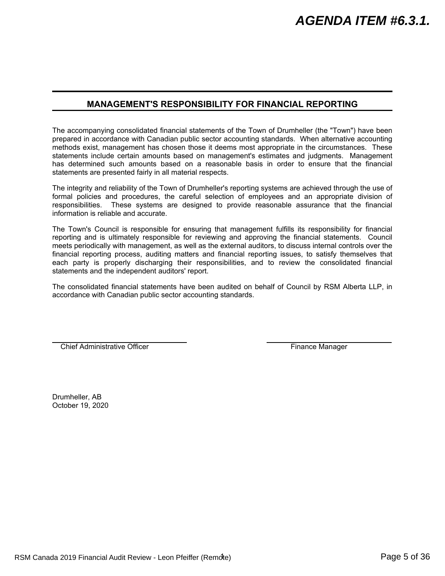### **MANAGEMENT'S RESPONSIBILITY FOR FINANCIAL REPORTING**

The accompanying consolidated financial statements of the Town of Drumheller (the "Town") have been prepared in accordance with Canadian public sector accounting standards. When alternative accounting methods exist, management has chosen those it deems most appropriate in the circumstances. These statements include certain amounts based on management's estimates and judgments. Management has determined such amounts based on a reasonable basis in order to ensure that the financial statements are presented fairly in all material respects.

The integrity and reliability of the Town of Drumheller's reporting systems are achieved through the use of formal policies and procedures, the careful selection of employees and an appropriate division of responsibilities. These systems are designed to provide reasonable assurance that the financial information is reliable and accurate.

The Town's Council is responsible for ensuring that management fulfills its responsibility for financial reporting and is ultimately responsible for reviewing and approving the financial statements. Council meets periodically with management, as well as the external auditors, to discuss internal controls over the financial reporting process, auditing matters and financial reporting issues, to satisfy themselves that each party is properly discharging their responsibilities, and to review the consolidated financial statements and the independent auditors' report.

The consolidated financial statements have been audited on behalf of Council by RSM Alberta LLP, in accordance with Canadian public sector accounting standards.

Chief Administrative Officer **Finance Manager** Finance Manager

Drumheller, AB October 19, 2020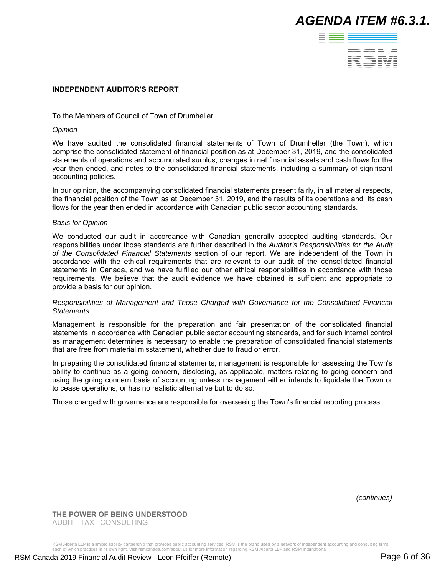

### **INDEPENDENT AUDITOR'S REPORT**

### To the Members of Council of Town of Drumheller

#### *Opinion*

We have audited the consolidated financial statements of Town of Drumheller (the Town), which comprise the consolidated statement of financial position as at December 31, 2019, and the consolidated statements of operations and accumulated surplus, changes in net financial assets and cash flows for the year then ended, and notes to the consolidated financial statements, including a summary of significant accounting policies.

In our opinion, the accompanying consolidated financial statements present fairly, in all material respects, the financial position of the Town as at December 31, 2019, and the results of its operations and its cash flows for the year then ended in accordance with Canadian public sector accounting standards.

#### *Basis for Opinion*

We conducted our audit in accordance with Canadian generally accepted auditing standards. Our responsibilities under those standards are further described in the *Auditor's Responsibilities for the Audit of the Consolidated Financial Statements* section of our report. We are independent of the Town in accordance with the ethical requirements that are relevant to our audit of the consolidated financial statements in Canada, and we have fulfilled our other ethical responsibilities in accordance with those requirements. We believe that the audit evidence we have obtained is sufficient and appropriate to provide a basis for our opinion.

#### *Responsibilities of Management and Those Charged with Governance for the Consolidated Financial Statements*

Management is responsible for the preparation and fair presentation of the consolidated financial statements in accordance with Canadian public sector accounting standards, and for such internal control as management determines is necessary to enable the preparation of consolidated financial statements that are free from material misstatement, whether due to fraud or error.

In preparing the consolidated financial statements, management is responsible for assessing the Town's ability to continue as a going concern, disclosing, as applicable, matters relating to going concern and using the going concern basis of accounting unless management either intends to liquidate the Town or to cease operations, or has no realistic alternative but to do so.

Those charged with governance are responsible for overseeing the Town's financial reporting process.

*(continues)*

**THE POWER OF BEING UNDERSTOOD** AUDIT | TAX | CONSULTING

RSM Alberta LLP is a limited liability partnership that provides public accounting services. RSM is the brand used by a network of independent accounting and consulting firms,<br>each of which practices in its own right. Visi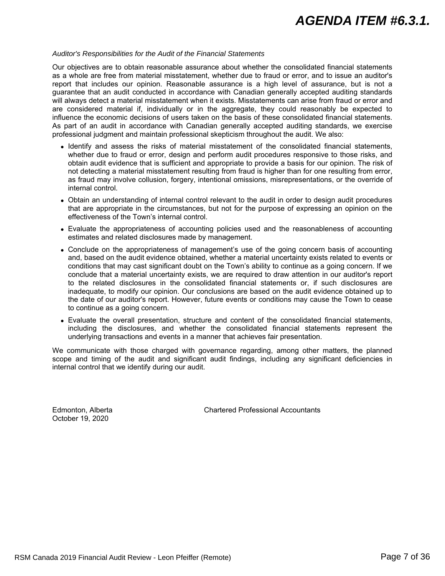#### *Auditor's Responsibilities for the Audit of the Financial Statements*

Our objectives are to obtain reasonable assurance about whether the consolidated financial statements as a whole are free from material misstatement, whether due to fraud or error, and to issue an auditor's report that includes our opinion. Reasonable assurance is a high level of assurance, but is not a guarantee that an audit conducted in accordance with Canadian generally accepted auditing standards will always detect a material misstatement when it exists. Misstatements can arise from fraud or error and are considered material if, individually or in the aggregate, they could reasonably be expected to influence the economic decisions of users taken on the basis of these consolidated financial statements. As part of an audit in accordance with Canadian generally accepted auditing standards, we exercise professional judgment and maintain professional skepticism throughout the audit. We also:

- Identify and assess the risks of material misstatement of the consolidated financial statements, whether due to fraud or error, design and perform audit procedures responsive to those risks, and obtain audit evidence that is sufficient and appropriate to provide a basis for our opinion. The risk of not detecting a material misstatement resulting from fraud is higher than for one resulting from error, as fraud may involve collusion, forgery, intentional omissions, misrepresentations, or the override of internal control.
- Obtain an understanding of internal control relevant to the audit in order to design audit procedures that are appropriate in the circumstances, but not for the purpose of expressing an opinion on the effectiveness of the Town's internal control.
- Evaluate the appropriateness of accounting policies used and the reasonableness of accounting estimates and related disclosures made by management.
- Conclude on the appropriateness of management's use of the going concern basis of accounting and, based on the audit evidence obtained, whether a material uncertainty exists related to events or conditions that may cast significant doubt on the Town's ability to continue as a going concern. If we conclude that a material uncertainty exists, we are required to draw attention in our auditor's report to the related disclosures in the consolidated financial statements or, if such disclosures are inadequate, to modify our opinion. Our conclusions are based on the audit evidence obtained up to the date of our auditor's report. However, future events or conditions may cause the Town to cease to continue as a going concern.
- Evaluate the overall presentation, structure and content of the consolidated financial statements, including the disclosures, and whether the consolidated financial statements represent the underlying transactions and events in a manner that achieves fair presentation.

We communicate with those charged with governance regarding, among other matters, the planned scope and timing of the audit and significant audit findings, including any significant deficiencies in internal control that we identify during our audit.

October 19, 2020

Edmonton, Alberta Chartered Professional Accountants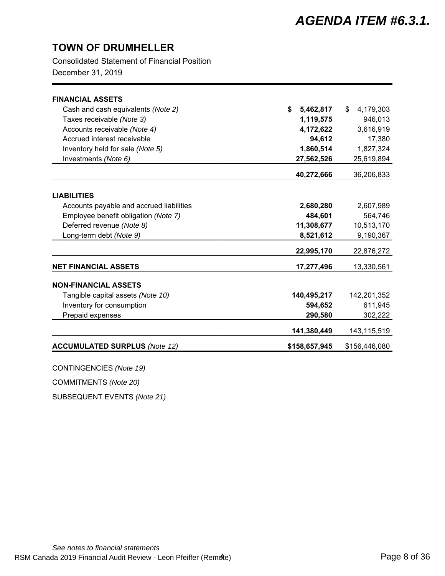Consolidated Statement of Financial Position

December 31, 2019

| <b>FINANCIAL ASSETS</b>                  |                 |                 |
|------------------------------------------|-----------------|-----------------|
| Cash and cash equivalents (Note 2)       | \$<br>5,462,817 | \$<br>4,179,303 |
| Taxes receivable (Note 3)                | 1,119,575       | 946,013         |
| Accounts receivable (Note 4)             | 4,172,622       | 3,616,919       |
| Accrued interest receivable              | 94,612          | 17,380          |
| Inventory held for sale (Note 5)         | 1,860,514       | 1,827,324       |
| Investments (Note 6)                     | 27,562,526      | 25,619,894      |
|                                          |                 |                 |
|                                          | 40,272,666      | 36,206,833      |
| <b>LIABILITIES</b>                       |                 |                 |
| Accounts payable and accrued liabilities | 2,680,280       | 2,607,989       |
| Employee benefit obligation (Note 7)     | 484,601         | 564,746         |
| Deferred revenue (Note 8)                | 11,308,677      | 10,513,170      |
| Long-term debt (Note 9)                  | 8,521,612       | 9,190,367       |
|                                          |                 |                 |
|                                          | 22,995,170      | 22,876,272      |
| <b>NET FINANCIAL ASSETS</b>              | 17,277,496      | 13,330,561      |
| <b>NON-FINANCIAL ASSETS</b>              |                 |                 |
| Tangible capital assets (Note 10)        | 140,495,217     | 142,201,352     |
| Inventory for consumption                | 594,652         | 611,945         |
| Prepaid expenses                         | 290,580         | 302,222         |
|                                          |                 |                 |
|                                          | 141,380,449     | 143,115,519     |
| <b>ACCUMULATED SURPLUS (Note 12)</b>     | \$158,657,945   | \$156,446,080   |
|                                          |                 |                 |

CONTINGENCIES *(Note 19)*

COMMITMENTS *(Note 20)*

SUBSEQUENT EVENTS *(Note 21)*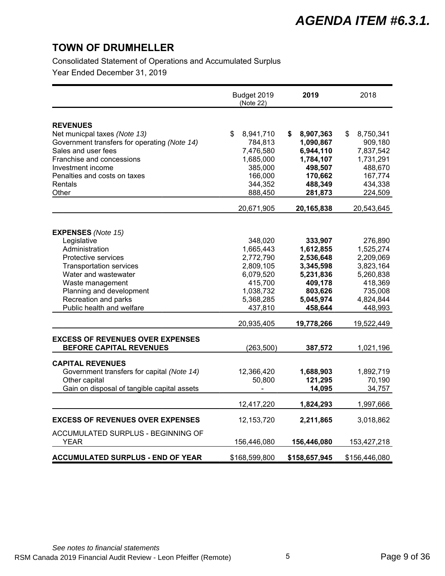Consolidated Statement of Operations and Accumulated Surplus

Year Ended December 31, 2019

|                                                                           | Budget 2019<br>(Note 22) | 2019                   | 2018                   |
|---------------------------------------------------------------------------|--------------------------|------------------------|------------------------|
|                                                                           |                          |                        |                        |
| <b>REVENUES</b><br>Net municpal taxes (Note 13)                           | \$<br>8,941,710          | 8,907,363<br>\$        | \$<br>8,750,341        |
| Government transfers for operating (Note 14)                              | 784,813                  | 1,090,867              | 909,180                |
| Sales and user fees                                                       | 7,476,580                | 6,944,110              | 7,837,542              |
| Franchise and concessions                                                 | 1,685,000                | 1,784,107              | 1,731,291              |
| Investment income                                                         | 385,000                  | 498,507                | 488,670                |
| Penalties and costs on taxes                                              | 166,000                  | 170,662                | 167,774                |
| Rentals                                                                   | 344,352                  | 488,349                | 434,338                |
| Other                                                                     | 888,450                  | 281,873                | 224,509                |
|                                                                           | 20,671,905               | 20,165,838             | 20,543,645             |
|                                                                           |                          |                        |                        |
| <b>EXPENSES</b> (Note 15)                                                 |                          |                        |                        |
| Legislative                                                               | 348,020                  | 333,907                | 276,890                |
| Administration                                                            | 1,665,443                | 1,612,855              | 1,525,274              |
| Protective services                                                       | 2,772,790                | 2,536,648              | 2,209,069              |
| <b>Transportation services</b><br>Water and wastewater                    | 2,809,105<br>6,079,520   | 3,345,598<br>5,231,836 | 3,823,164<br>5,260,838 |
| Waste management                                                          | 415,700                  | 409,178                | 418,369                |
| Planning and development                                                  | 1,038,732                | 803,626                | 735,008                |
| Recreation and parks                                                      | 5,368,285                | 5,045,974              | 4,824,844              |
| Public health and welfare                                                 | 437,810                  | 458,644                | 448,993                |
|                                                                           | 20,935,405               | 19,778,266             | 19,522,449             |
|                                                                           |                          |                        |                        |
| <b>EXCESS OF REVENUES OVER EXPENSES</b><br><b>BEFORE CAPITAL REVENUES</b> | (263, 500)               | 387,572                | 1,021,196              |
|                                                                           |                          |                        |                        |
| <b>CAPITAL REVENUES</b>                                                   |                          |                        |                        |
| Government transfers for capital (Note 14)                                | 12,366,420               | 1,688,903              | 1,892,719              |
| Other capital                                                             | 50,800                   | 121,295                | 70,190                 |
| Gain on disposal of tangible capital assets                               |                          | 14,095                 | 34,757                 |
|                                                                           | 12,417,220               | 1,824,293              | 1,997,666              |
| <b>EXCESS OF REVENUES OVER EXPENSES</b>                                   | 12, 153, 720             | 2,211,865              | 3,018,862              |
| ACCUMULATED SURPLUS - BEGINNING OF                                        |                          |                        |                        |
| YEAR                                                                      | 156,446,080              | 156,446,080            | 153,427,218            |
| <b>ACCUMULATED SURPLUS - END OF YEAR</b>                                  | \$168,599,800            | \$158,657,945          | \$156,446,080          |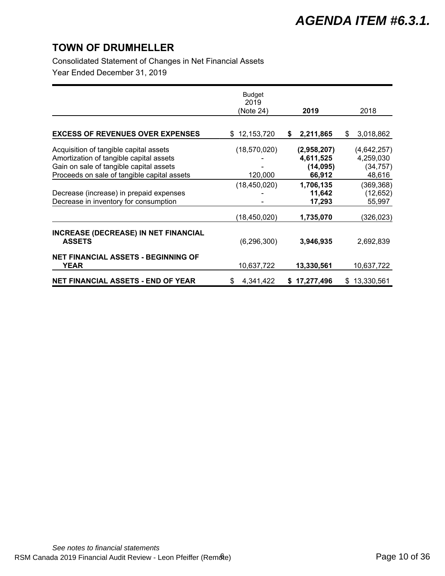Consolidated Statement of Changes in Net Financial Assets

Year Ended December 31, 2019

|                                                                                                                                                                             | <b>Budget</b><br>2019<br>(Note 24) | 2019                                            | 2018                                            |
|-----------------------------------------------------------------------------------------------------------------------------------------------------------------------------|------------------------------------|-------------------------------------------------|-------------------------------------------------|
|                                                                                                                                                                             |                                    |                                                 |                                                 |
| <b>EXCESS OF REVENUES OVER EXPENSES</b>                                                                                                                                     | \$12,153,720                       | 2,211,865<br>\$                                 | 3,018,862<br>\$                                 |
| Acquisition of tangible capital assets<br>Amortization of tangible capital assets<br>Gain on sale of tangible capital assets<br>Proceeds on sale of tangible capital assets | (18,570,020)<br>120,000            | (2,958,207)<br>4,611,525<br>(14, 095)<br>66,912 | (4,642,257)<br>4,259,030<br>(34, 757)<br>48,616 |
| Decrease (increase) in prepaid expenses<br>Decrease in inventory for consumption                                                                                            | (18, 450, 020)                     | 1,706,135<br>11,642<br>17,293                   | (369, 368)<br>(12, 652)<br>55,997               |
|                                                                                                                                                                             | (18,450,020)                       | 1,735,070                                       | (326,023)                                       |
| <b>INCREASE (DECREASE) IN NET FINANCIAL</b><br><b>ASSETS</b>                                                                                                                | (6, 296, 300)                      | 3,946,935                                       | 2,692,839                                       |
| <b>NET FINANCIAL ASSETS - BEGINNING OF</b><br>YEAR                                                                                                                          | 10,637,722                         | 13,330,561                                      | 10,637,722                                      |
| <b>NET FINANCIAL ASSETS - END OF YEAR</b>                                                                                                                                   | 4,341,422<br>\$                    | 17,277,496<br>S                                 | \$<br>13,330,561                                |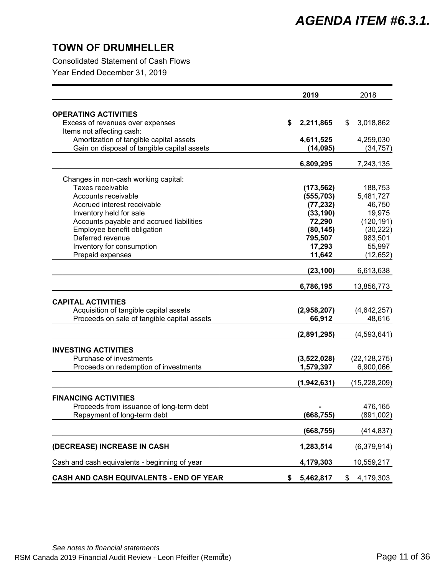Consolidated Statement of Cash Flows

Year Ended December 31, 2019

|                                                 | 2019            | 2018            |
|-------------------------------------------------|-----------------|-----------------|
| <b>OPERATING ACTIVITIES</b>                     |                 |                 |
| Excess of revenues over expenses                | \$<br>2,211,865 | \$<br>3,018,862 |
| Items not affecting cash:                       |                 |                 |
| Amortization of tangible capital assets         | 4,611,525       | 4,259,030       |
| Gain on disposal of tangible capital assets     | (14, 095)       | (34, 757)       |
|                                                 | 6,809,295       | 7,243,135       |
| Changes in non-cash working capital:            |                 |                 |
| Taxes receivable                                | (173, 562)      | 188,753         |
| Accounts receivable                             | (555, 703)      | 5,481,727       |
| Accrued interest receivable                     | (77, 232)       | 46,750          |
| Inventory held for sale                         | (33, 190)       | 19,975          |
|                                                 | 72,290          | (120, 191)      |
| Accounts payable and accrued liabilities        | (80, 145)       | (30, 222)       |
| Employee benefit obligation<br>Deferred revenue | 795,507         | 983,501         |
| Inventory for consumption                       | 17,293          | 55,997          |
| Prepaid expenses                                | 11,642          | (12, 652)       |
|                                                 | (23, 100)       | 6,613,638       |
|                                                 | 6,786,195       | 13,856,773      |
|                                                 |                 |                 |
| <b>CAPITAL ACTIVITIES</b>                       |                 |                 |
| Acquisition of tangible capital assets          | (2,958,207)     | (4,642,257)     |
| Proceeds on sale of tangible capital assets     | 66,912          | 48,616          |
|                                                 | (2,891,295)     | (4,593,641)     |
| <b>INVESTING ACTIVITIES</b>                     |                 |                 |
| Purchase of investments                         | (3,522,028)     | (22, 128, 275)  |
| Proceeds on redemption of investments           | 1,579,397       | 6,900,066       |
|                                                 | (1,942,631)     | (15,228,209)    |
|                                                 |                 |                 |
| <b>FINANCING ACTIVITIES</b>                     |                 |                 |
| Proceeds from issuance of long-term debt        |                 | 476,165         |
| Repayment of long-term debt                     | (668, 755)      | (891,002)       |
|                                                 | (668, 755)      | (414, 837)      |
| (DECREASE) INCREASE IN CASH                     | 1,283,514       | (6,379,914)     |
| Cash and cash equivalents - beginning of year   | 4,179,303       | 10,559,217      |
| CASH AND CASH EQUIVALENTS - END OF YEAR         | \$<br>5,462,817 | \$<br>4,179,303 |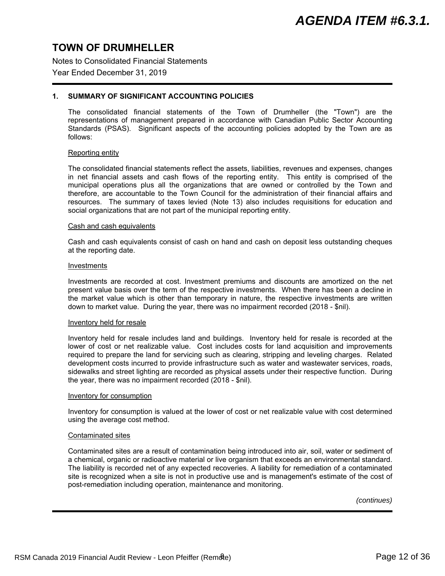Notes to Consolidated Financial Statements

### Year Ended December 31, 2019

### **1. SUMMARY OF SIGNIFICANT ACCOUNTING POLICIES**

The consolidated financial statements of the Town of Drumheller (the "Town") are the representations of management prepared in accordance with Canadian Public Sector Accounting Standards (PSAS). Significant aspects of the accounting policies adopted by the Town are as follows:

#### Reporting entity

The consolidated financial statements reflect the assets, liabilities, revenues and expenses, changes in net financial assets and cash flows of the reporting entity. This entity is comprised of the municipal operations plus all the organizations that are owned or controlled by the Town and therefore, are accountable to the Town Council for the administration of their financial affairs and resources. The summary of taxes levied (Note 13) also includes requisitions for education and social organizations that are not part of the municipal reporting entity.

#### Cash and cash equivalents

Cash and cash equivalents consist of cash on hand and cash on deposit less outstanding cheques at the reporting date.

#### Investments

Investments are recorded at cost. Investment premiums and discounts are amortized on the net present value basis over the term of the respective investments. When there has been a decline in the market value which is other than temporary in nature, the respective investments are written down to market value. During the year, there was no impairment recorded (2018 - \$nil).

#### Inventory held for resale

Inventory held for resale includes land and buildings. Inventory held for resale is recorded at the lower of cost or net realizable value. Cost includes costs for land acquisition and improvements required to prepare the land for servicing such as clearing, stripping and leveling charges. Related development costs incurred to provide infrastructure such as water and wastewater services, roads, sidewalks and street lighting are recorded as physical assets under their respective function. During the year, there was no impairment recorded (2018 - \$nil).

#### Inventory for consumption

Inventory for consumption is valued at the lower of cost or net realizable value with cost determined using the average cost method.

#### Contaminated sites

Contaminated sites are a result of contamination being introduced into air, soil, water or sediment of a chemical, organic or radioactive material or live organism that exceeds an environmental standard. The liability is recorded net of any expected recoveries. A liability for remediation of a contaminated site is recognized when a site is not in productive use and is management's estimate of the cost of post-remediation including operation, maintenance and monitoring.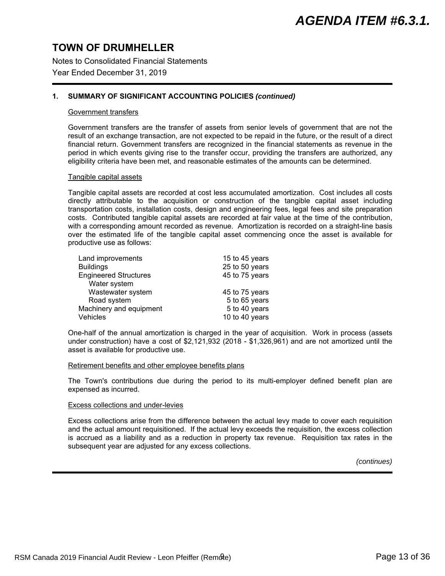Notes to Consolidated Financial Statements

### Year Ended December 31, 2019

### **1. SUMMARY OF SIGNIFICANT ACCOUNTING POLICIES** *(continued)*

#### Government transfers

Government transfers are the transfer of assets from senior levels of government that are not the result of an exchange transaction, are not expected to be repaid in the future, or the result of a direct financial return. Government transfers are recognized in the financial statements as revenue in the period in which events giving rise to the transfer occur, providing the transfers are authorized, any eligibility criteria have been met, and reasonable estimates of the amounts can be determined.

#### Tangible capital assets

Tangible capital assets are recorded at cost less accumulated amortization. Cost includes all costs directly attributable to the acquisition or construction of the tangible capital asset including transportation costs, installation costs, design and engineering fees, legal fees and site preparation costs. Contributed tangible capital assets are recorded at fair value at the time of the contribution, with a corresponding amount recorded as revenue. Amortization is recorded on a straight-line basis over the estimated life of the tangible capital asset commencing once the asset is available for productive use as follows:

| Land improvements            | 15 to 45 years |
|------------------------------|----------------|
| <b>Buildings</b>             | 25 to 50 years |
| <b>Engineered Structures</b> | 45 to 75 years |
| Water system                 |                |
| Wastewater system            | 45 to 75 years |
| Road system                  | 5 to 65 years  |
|                              |                |
| Machinery and equipment      | 5 to 40 years  |

One-half of the annual amortization is charged in the year of acquisition. Work in process (assets under construction) have a cost of \$2,121,932 (2018 - \$1,326,961) and are not amortized until the asset is available for productive use.

#### Retirement benefits and other employee benefits plans

The Town's contributions due during the period to its multi-employer defined benefit plan are expensed as incurred.

#### Excess collections and under-levies

Excess collections arise from the difference between the actual levy made to cover each requisition and the actual amount requisitioned. If the actual levy exceeds the requisition, the excess collection is accrued as a liability and as a reduction in property tax revenue. Requisition tax rates in the subsequent year are adjusted for any excess collections.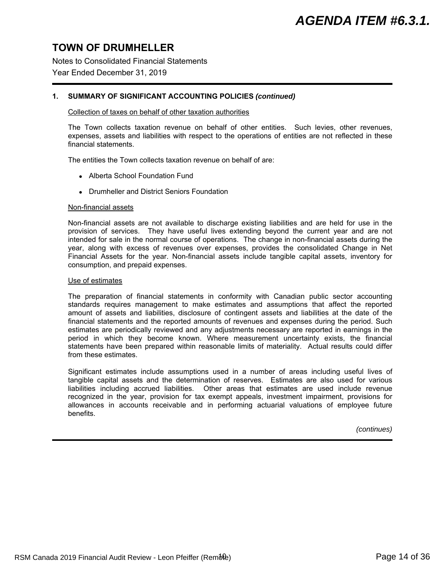Notes to Consolidated Financial Statements

### Year Ended December 31, 2019

### **1. SUMMARY OF SIGNIFICANT ACCOUNTING POLICIES** *(continued)*

#### Collection of taxes on behalf of other taxation authorities

The Town collects taxation revenue on behalf of other entities. Such levies, other revenues, expenses, assets and liabilities with respect to the operations of entities are not reflected in these financial statements.

The entities the Town collects taxation revenue on behalf of are:

- Alberta School Foundation Fund
- Drumheller and District Seniors Foundation

#### Non-financial assets

Non-financial assets are not available to discharge existing liabilities and are held for use in the provision of services. They have useful lives extending beyond the current year and are not intended for sale in the normal course of operations. The change in non-financial assets during the year, along with excess of revenues over expenses, provides the consolidated Change in Net Financial Assets for the year. Non-financial assets include tangible capital assets, inventory for consumption, and prepaid expenses.

#### Use of estimates

The preparation of financial statements in conformity with Canadian public sector accounting standards requires management to make estimates and assumptions that affect the reported amount of assets and liabilities, disclosure of contingent assets and liabilities at the date of the financial statements and the reported amounts of revenues and expenses during the period. Such estimates are periodically reviewed and any adjustments necessary are reported in earnings in the period in which they become known. Where measurement uncertainty exists, the financial statements have been prepared within reasonable limits of materiality. Actual results could differ from these estimates.

Significant estimates include assumptions used in a number of areas including useful lives of tangible capital assets and the determination of reserves. Estimates are also used for various liabilities including accrued liabilities. Other areas that estimates are used include revenue recognized in the year, provision for tax exempt appeals, investment impairment, provisions for allowances in accounts receivable and in performing actuarial valuations of employee future benefits.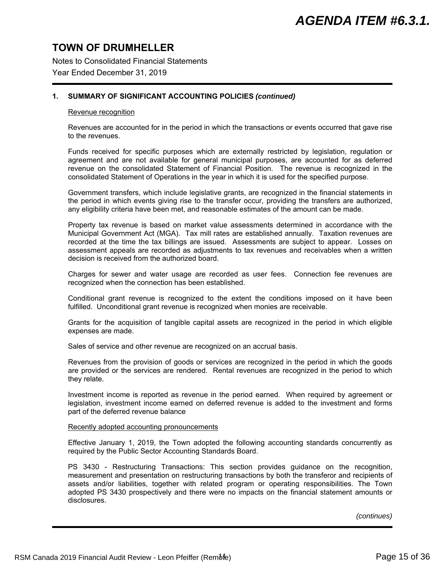Notes to Consolidated Financial Statements

### Year Ended December 31, 2019

### **1. SUMMARY OF SIGNIFICANT ACCOUNTING POLICIES** *(continued)*

#### Revenue recognition

Revenues are accounted for in the period in which the transactions or events occurred that gave rise to the revenues.

Funds received for specific purposes which are externally restricted by legislation, regulation or agreement and are not available for general municipal purposes, are accounted for as deferred revenue on the consolidated Statement of Financial Position. The revenue is recognized in the consolidated Statement of Operations in the year in which it is used for the specified purpose.

Government transfers, which include legislative grants, are recognized in the financial statements in the period in which events giving rise to the transfer occur, providing the transfers are authorized, any eligibility criteria have been met, and reasonable estimates of the amount can be made.

Property tax revenue is based on market value assessments determined in accordance with the Municipal Government Act (MGA). Tax mill rates are established annually. Taxation revenues are recorded at the time the tax billings are issued. Assessments are subject to appear. Losses on assessment appeals are recorded as adjustments to tax revenues and receivables when a written decision is received from the authorized board.

Charges for sewer and water usage are recorded as user fees. Connection fee revenues are recognized when the connection has been established.

Conditional grant revenue is recognized to the extent the conditions imposed on it have been fulfilled. Unconditional grant revenue is recognized when monies are receivable.

Grants for the acquisition of tangible capital assets are recognized in the period in which eligible expenses are made.

Sales of service and other revenue are recognized on an accrual basis.

Revenues from the provision of goods or services are recognized in the period in which the goods are provided or the services are rendered. Rental revenues are recognized in the period to which they relate.

Investment income is reported as revenue in the period earned. When required by agreement or legislation, investment income earned on deferred revenue is added to the investment and forms part of the deferred revenue balance

#### Recently adopted accounting pronouncements

Effective January 1, 2019, the Town adopted the following accounting standards concurrently as required by the Public Sector Accounting Standards Board.

PS 3430 - Restructuring Transactions: This section provides guidance on the recognition, measurement and presentation on restructuring transactions by both the transferor and recipients of assets and/or liabilities, together with related program or operating responsibilities. The Town adopted PS 3430 prospectively and there were no impacts on the financial statement amounts or disclosures.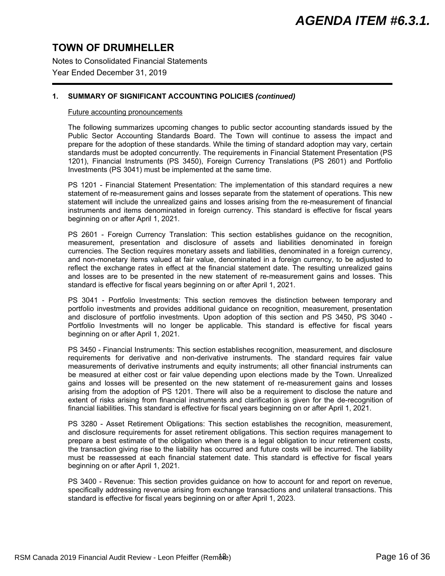Notes to Consolidated Financial Statements

### Year Ended December 31, 2019

### **1. SUMMARY OF SIGNIFICANT ACCOUNTING POLICIES** *(continued)*

#### Future accounting pronouncements

The following summarizes upcoming changes to public sector accounting standards issued by the Public Sector Accounting Standards Board. The Town will continue to assess the impact and prepare for the adoption of these standards. While the timing of standard adoption may vary, certain standards must be adopted concurrently. The requirements in Financial Statement Presentation (PS 1201), Financial Instruments (PS 3450), Foreign Currency Translations (PS 2601) and Portfolio Investments (PS 3041) must be implemented at the same time.

PS 1201 - Financial Statement Presentation: The implementation of this standard requires a new statement of re-measurement gains and losses separate from the statement of operations. This new statement will include the unrealized gains and losses arising from the re-measurement of financial instruments and items denominated in foreign currency. This standard is effective for fiscal years beginning on or after April 1, 2021.

PS 2601 - Foreign Currency Translation: This section establishes guidance on the recognition, measurement, presentation and disclosure of assets and liabilities denominated in foreign currencies. The Section requires monetary assets and liabilities, denominated in a foreign currency, and non-monetary items valued at fair value, denominated in a foreign currency, to be adjusted to reflect the exchange rates in effect at the financial statement date. The resulting unrealized gains and losses are to be presented in the new statement of re-measurement gains and losses. This standard is effective for fiscal years beginning on or after April 1, 2021.

PS 3041 - Portfolio Investments: This section removes the distinction between temporary and portfolio investments and provides additional guidance on recognition, measurement, presentation and disclosure of portfolio investments. Upon adoption of this section and PS 3450, PS 3040 - Portfolio Investments will no longer be applicable. This standard is effective for fiscal years beginning on or after April 1, 2021.

PS 3450 - Financial Instruments: This section establishes recognition, measurement, and disclosure requirements for derivative and non-derivative instruments. The standard requires fair value measurements of derivative instruments and equity instruments; all other financial instruments can be measured at either cost or fair value depending upon elections made by the Town. Unrealized gains and losses will be presented on the new statement of re-measurement gains and losses arising from the adoption of PS 1201. There will also be a requirement to disclose the nature and extent of risks arising from financial instruments and clarification is given for the de-recognition of financial liabilities. This standard is effective for fiscal years beginning on or after April 1, 2021.

PS 3280 - Asset Retirement Obligations: This section establishes the recognition, measurement, and disclosure requirements for asset retirement obligations. This section requires management to prepare a best estimate of the obligation when there is a legal obligation to incur retirement costs, the transaction giving rise to the liability has occurred and future costs will be incurred. The liability must be reassessed at each financial statement date. This standard is effective for fiscal years beginning on or after April 1, 2021.

PS 3400 - Revenue: This section provides guidance on how to account for and report on revenue, specifically addressing revenue arising from exchange transactions and unilateral transactions. This standard is effective for fiscal years beginning on or after April 1, 2023.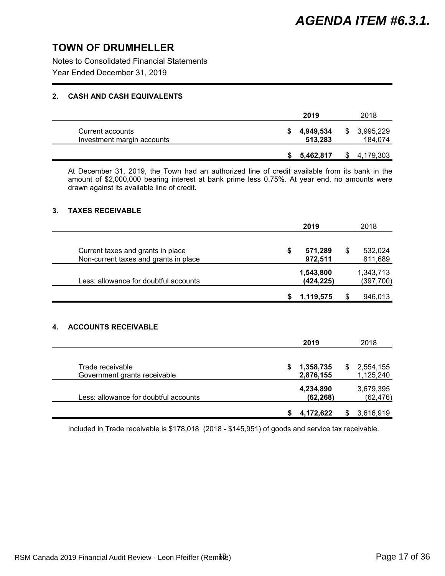Notes to Consolidated Financial Statements

Year Ended December 31, 2019

### **2. CASH AND CASH EQUIVALENTS**

|                                                | 2019                 |   | 2018                 |
|------------------------------------------------|----------------------|---|----------------------|
| Current accounts<br>Investment margin accounts | 4,949,534<br>513,283 | S | 3,995,229<br>184,074 |
|                                                | 5,462,817            |   | 4,179,303            |

At December 31, 2019, the Town had an authorized line of credit available from its bank in the amount of \$2,000,000 bearing interest at bank prime less 0.75%. At year end, no amounts were drawn against its available line of credit.

### **3. TAXES RECEIVABLE**

|    |                                                                            | 2019 |                        | 2018 |                        |
|----|----------------------------------------------------------------------------|------|------------------------|------|------------------------|
|    | Current taxes and grants in place<br>Non-current taxes and grants in place | \$   | 571,289<br>972,511     | \$   | 532,024<br>811,689     |
|    | Less: allowance for doubtful accounts                                      |      | 1,543,800<br>(424,225) |      | 1,343,713<br>(397,700) |
|    |                                                                            | \$   | 1,119,575              | \$   | 946,013                |
| 4. | <b>ACCOUNTS RECEIVABLE</b>                                                 |      |                        |      |                        |
|    |                                                                            |      | 2019                   |      | 2018                   |

| Trade receivable<br>Government grants receivable | 1,358,735<br>2,876,155 | 2,554,155<br>1,125,240 |
|--------------------------------------------------|------------------------|------------------------|
| Less: allowance for doubtful accounts            | 4,234,890<br>(62, 268) | 3,679,395<br>(62, 476) |
|                                                  | 4,172,622              | 3,616,919              |

Included in Trade receivable is \$178,018 (2018 - \$145,951) of goods and service tax receivable.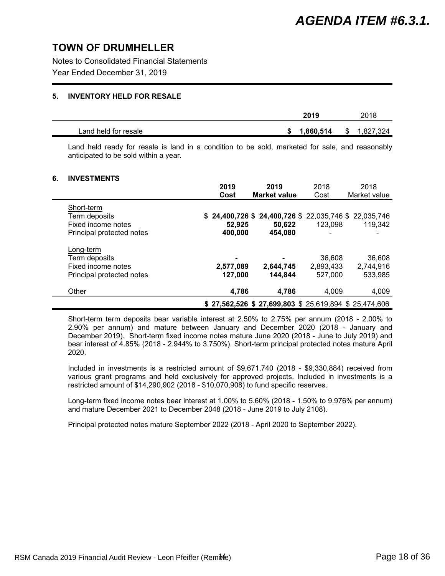Notes to Consolidated Financial Statements

Year Ended December 31, 2019

### **5. INVENTORY HELD FOR RESALE**

|                      | 2019      |      | 2018      |
|----------------------|-----------|------|-----------|
| Land held for resale | 1,860,514 | - \$ | 1,827,324 |

Land held ready for resale is land in a condition to be sold, marketed for sale, and reasonably anticipated to be sold within a year.

### **6. INVESTMENTS**

|                                                                                | 2019<br>Cost              | 2019<br><b>Market value</b>                                                  | 2018<br>Cost                   | 2018<br>Market value           |
|--------------------------------------------------------------------------------|---------------------------|------------------------------------------------------------------------------|--------------------------------|--------------------------------|
| Short-term<br>Term deposits<br>Fixed income notes<br>Principal protected notes | 52.925<br>400,000         | \$ 24,400,726 \$ 24,400,726 \$ 22,035,746 \$ 22,035,746<br>50.622<br>454.080 | 123.098                        | 119,342                        |
| Long-term<br>Term deposits<br>Fixed income notes<br>Principal protected notes  | ۰<br>2,577,089<br>127,000 | 2,644,745<br>144,844                                                         | 36,608<br>2,893,433<br>527,000 | 36,608<br>2,744,916<br>533,985 |
| Other                                                                          | 4,786                     | 4.786                                                                        | 4,009                          | 4,009                          |
|                                                                                |                           | $$27,562,526$ $$27,699,803$ $$25,619,894$ $$25,474,606$                      |                                |                                |

Short-term term deposits bear variable interest at 2.50% to 2.75% per annum (2018 - 2.00% to 2.90% per annum) and mature between January and December 2020 (2018 - January and December 2019). Short-term fixed income notes mature June 2020 (2018 - June to July 2019) and bear interest of 4.85% (2018 - 2.944% to 3.750%). Short-term principal protected notes mature April 2020.

Included in investments is a restricted amount of \$9,671,740 (2018 - \$9,330,884) received from various grant programs and held exclusively for approved projects. Included in investments is a restricted amount of \$14,290,902 (2018 - \$10,070,908) to fund specific reserves.

Long-term fixed income notes bear interest at 1.00% to 5.60% (2018 - 1.50% to 9.976% per annum) and mature December 2021 to December 2048 (2018 - June 2019 to July 2108).

Principal protected notes mature September 2022 (2018 - April 2020 to September 2022).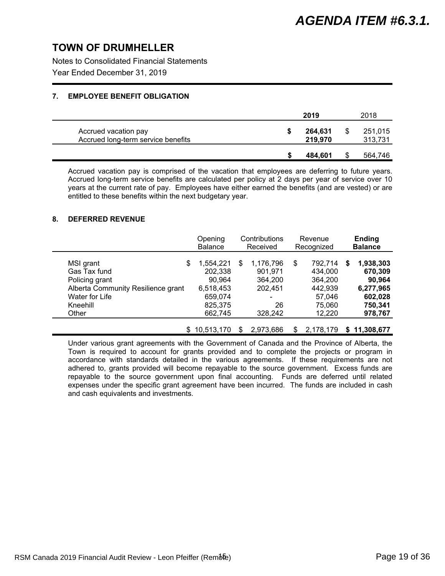Notes to Consolidated Financial Statements

Year Ended December 31, 2019

### **7. EMPLOYEE BENEFIT OBLIGATION**

|                                                            | 2019               | 2018               |
|------------------------------------------------------------|--------------------|--------------------|
| Accrued vacation pay<br>Accrued long-term service benefits | 264,631<br>219,970 | 251,015<br>313,731 |
|                                                            | 484.601            | 564,746            |

Accrued vacation pay is comprised of the vacation that employees are deferring to future years. Accrued long-term service benefits are calculated per policy at 2 days per year of service over 10 years at the current rate of pay. Employees have either earned the benefits (and are vested) or are entitled to these benefits within the next budgetary year.

### **8. DEFERRED REVENUE**

|                                    | Opening<br><b>Balance</b> | Contributions<br>Received |           | Revenue<br>Recognized |           |   | <b>Ending</b><br><b>Balance</b> |
|------------------------------------|---------------------------|---------------------------|-----------|-----------------------|-----------|---|---------------------------------|
| MSI grant<br>\$                    | 1,554,221                 | \$                        | 1,176,796 | \$                    | 792,714   | S | 1,938,303                       |
| Gas Tax fund                       | 202,338                   |                           | 901,971   |                       | 434,000   |   | 670,309                         |
| Policing grant                     | 90,964                    |                           | 364.200   |                       | 364,200   |   | 90,964                          |
| Alberta Community Resilience grant | 6,518,453                 |                           | 202.451   |                       | 442,939   |   | 6,277,965                       |
| Water for Life                     | 659,074                   |                           | ۰         |                       | 57,046    |   | 602,028                         |
| Kneehill                           | 825,375                   |                           | 26        |                       | 75,060    |   | 750,341                         |
| Other                              | 662,745                   |                           | 328,242   |                       | 12,220    |   | 978,767                         |
|                                    | 10,513,170                | S                         | 2,973,686 | S                     | 2.178.179 |   | \$11,308,677                    |

Under various grant agreements with the Government of Canada and the Province of Alberta, the Town is required to account for grants provided and to complete the projects or program in accordance with standards detailed in the various agreements. If these requirements are not adhered to, grants provided will become repayable to the source government. Excess funds are repayable to the source government upon final accounting. Funds are deferred until related expenses under the specific grant agreement have been incurred. The funds are included in cash and cash equivalents and investments.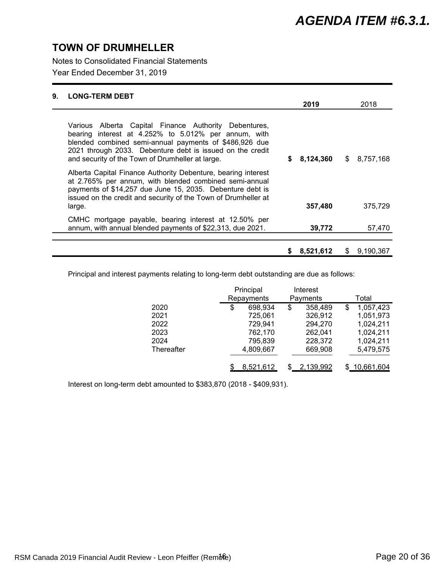Notes to Consolidated Financial Statements

Year Ended December 31, 2019

| 9. | <b>LONG-TERM DEBT</b>                                                                                                                                                                                                                                                                    |   |           |                 |
|----|------------------------------------------------------------------------------------------------------------------------------------------------------------------------------------------------------------------------------------------------------------------------------------------|---|-----------|-----------------|
|    |                                                                                                                                                                                                                                                                                          |   | 2019      | 2018            |
|    | Various Alberta Capital Finance Authority Debentures,<br>bearing interest at 4.252% to 5.012% per annum, with<br>blended combined semi-annual payments of \$486,926 due<br>2021 through 2033. Debenture debt is issued on the credit<br>and security of the Town of Drumheller at large. | S | 8,124,360 | \$8,757,168     |
|    | Alberta Capital Finance Authority Debenture, bearing interest<br>at 2.765% per annum, with blended combined semi-annual<br>payments of \$14,257 due June 15, 2035. Debenture debt is<br>issued on the credit and security of the Town of Drumheller at<br>large.                         |   | 357,480   | 375.729         |
|    | CMHC mortgage payable, bearing interest at 12.50% per<br>annum, with annual blended payments of \$22,313, due 2021.                                                                                                                                                                      |   | 39,772    | 57,470          |
|    |                                                                                                                                                                                                                                                                                          | S | 8,521,612 | \$<br>9,190,367 |

Principal and interest payments relating to long-term debt outstanding are due as follows:

|            | Principal     | Interest |           |   |               |
|------------|---------------|----------|-----------|---|---------------|
|            | Repayments    |          | Payments  |   | Total         |
| 2020       | \$<br>698,934 | \$       | 358,489   | S | 1,057,423     |
| 2021       | 725,061       |          | 326,912   |   | 1,051,973     |
| 2022       | 729,941       |          | 294,270   |   | 1,024,211     |
| 2023       | 762,170       |          | 262,041   |   | 1,024,211     |
| 2024       | 795,839       |          | 228,372   |   | 1,024,211     |
| Thereafter | 4,809,667     |          | 669,908   |   | 5,479,575     |
|            |               |          |           |   |               |
|            | 8,521,612     |          | 2,139,992 |   | \$ 10,661,604 |

Interest on long-term debt amounted to \$383,870 (2018 - \$409,931).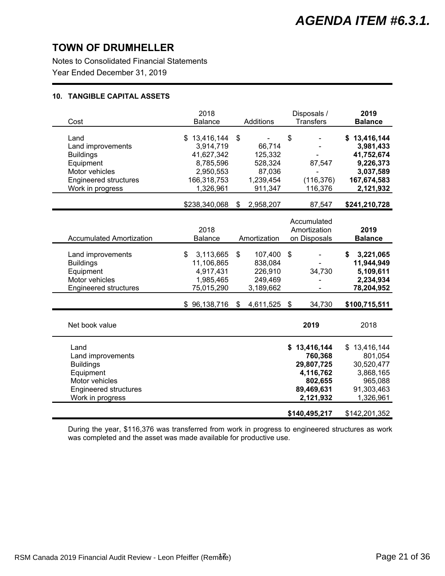Notes to Consolidated Financial Statements Year Ended December 31, 2019

### **10. TANGIBLE CAPITAL ASSETS**

| 2018<br><b>Balance</b>                                                                        |                                                                      |                           | <b>Transfers</b>                                                         |                                                                                             | 2019<br><b>Balance</b>                                                                                    |
|-----------------------------------------------------------------------------------------------|----------------------------------------------------------------------|---------------------------|--------------------------------------------------------------------------|---------------------------------------------------------------------------------------------|-----------------------------------------------------------------------------------------------------------|
| \$13,416,144<br>3,914,719<br>41,627,342<br>8,785,596<br>2,950,553<br>166,318,753<br>1,326,961 | \$<br>66,714<br>125,332<br>528,324<br>87,036<br>1,239,454<br>911,347 | \$                        | 87,547<br>(116, 376)<br>116,376                                          |                                                                                             | \$13,416,144<br>3,981,433<br>41,752,674<br>9,226,373<br>3,037,589<br>167,674,583<br>2,121,932             |
| \$238,340,068                                                                                 | \$<br>2,958,207                                                      |                           | 87,547                                                                   |                                                                                             | \$241,210,728                                                                                             |
| 2018<br>Balance                                                                               |                                                                      |                           |                                                                          |                                                                                             | 2019<br><b>Balance</b>                                                                                    |
| 3,113,665<br>\$<br>11,106,865<br>4,917,431<br>1,985,465<br>75,015,290                         | \$<br>107,400<br>838,084<br>226,910<br>249,469<br>3,189,662          | \$                        | 34,730                                                                   | \$                                                                                          | 3,221,065<br>11,944,949<br>5,109,611<br>2,234,934<br>78,204,952                                           |
|                                                                                               |                                                                      |                           | 34,730                                                                   |                                                                                             | \$100,715,511                                                                                             |
|                                                                                               |                                                                      |                           | 2019                                                                     |                                                                                             | 2018                                                                                                      |
|                                                                                               |                                                                      |                           | 760,368<br>29,807,725<br>4,116,762<br>802,655<br>89,469,631<br>2,121,932 |                                                                                             | \$13,416,144<br>801,054<br>30,520,477<br>3,868,165<br>965,088<br>91,303,463<br>1,326,961<br>\$142,201,352 |
|                                                                                               | $$96,138,716$ \$                                                     | Additions<br>Amortization | 4,611,525 \$                                                             | Disposals /<br>Accumulated<br>Amortization<br>on Disposals<br>\$13,416,144<br>\$140,495,217 |                                                                                                           |

During the year, \$116,376 was transferred from work in progress to engineered structures as work was completed and the asset was made available for productive use.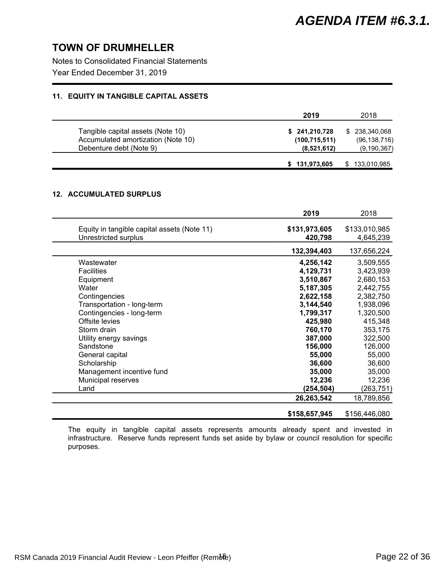Notes to Consolidated Financial Statements

Year Ended December 31, 2019

### **11. EQUITY IN TANGIBLE CAPITAL ASSETS**

|                                    | 2019            | 2018           |
|------------------------------------|-----------------|----------------|
| Tangible capital assets (Note 10)  | \$241,210,728   | \$ 238,340,068 |
| Accumulated amortization (Note 10) | (100, 715, 511) | (96, 138, 716) |
| Debenture debt (Note 9)            | (8,521,612)     | (9, 190, 367)  |
|                                    | \$131,973,605   | 133,010,985    |

### **12. ACCUMULATED SURPLUS**

|                                                                     | 2019                     | 2018                       |
|---------------------------------------------------------------------|--------------------------|----------------------------|
| Equity in tangible capital assets (Note 11)<br>Unrestricted surplus | \$131,973,605<br>420,798 | \$133,010,985<br>4,645,239 |
|                                                                     | 132,394,403              | 137,656,224                |
| Wastewater                                                          | 4,256,142                | 3,509,555                  |
| <b>Facilities</b>                                                   | 4,129,731                | 3,423,939                  |
| Equipment                                                           | 3,510,867                | 2,680,153                  |
| Water                                                               | 5,187,305                | 2,442,755                  |
| Contingencies                                                       | 2,622,158                | 2,382,750                  |
| Transportation - long-term                                          | 3,144,540                | 1,938,096                  |
| Contingencies - long-term                                           | 1,799,317                | 1,320,500                  |
| Offsite levies                                                      | 425,980                  | 415,348                    |
| Storm drain                                                         | 760,170                  | 353,175                    |
| Utility energy savings                                              | 387,000                  | 322,500                    |
| Sandstone                                                           | 156,000                  | 126,000                    |
| General capital                                                     | 55,000                   | 55,000                     |
| Scholarship                                                         | 36,600                   | 36,600                     |
| Management incentive fund                                           | 35,000                   | 35,000                     |
| Municipal reserves                                                  | 12,236                   | 12,236                     |
| Land                                                                | (254,504)                | (263,751)                  |
|                                                                     | 26,263,542               | 18,789,856                 |
|                                                                     | \$158,657,945            | \$156,446,080              |

The equity in tangible capital assets represents amounts already spent and invested in infrastructure. Reserve funds represent funds set aside by bylaw or council resolution for specific purposes.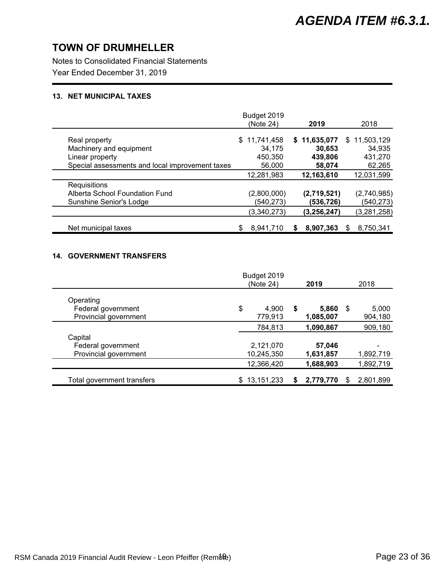Notes to Consolidated Financial Statements

Year Ended December 31, 2019

### **13. NET MUNICIPAL TAXES**

|                                                 | Budget 2019  |              |                 |
|-------------------------------------------------|--------------|--------------|-----------------|
|                                                 | (Note 24)    | 2019         | 2018            |
| Real property                                   | \$11,741,458 | \$11,635,077 | \$11,503,129    |
| Machinery and equipment                         | 34,175       | 30,653       | 34,935          |
| Linear property                                 | 450,350      | 439,806      | 431,270         |
| Special assessments and local improvement taxes | 56,000       | 58,074       | 62,265          |
|                                                 | 12.281.983   | 12,163,610   | 12,031,599      |
| Requisitions                                    |              |              |                 |
| Alberta School Foundation Fund                  | (2,800,000)  | (2,719,521)  | (2,740,985)     |
| Sunshine Senior's Lodge                         | (540,273)    | (536,726)    | (540, 273)      |
|                                                 | (3,340,273)  | (3,256,247)  | (3, 281, 258)   |
| Net municipal taxes                             | 8,941,710    | 8,907,363    | 8,750,341<br>\$ |

### **14. GOVERNMENT TRANSFERS**

|                                             | Budget 2019            |   |                    |      |                  |
|---------------------------------------------|------------------------|---|--------------------|------|------------------|
|                                             | (Note 24)              |   | 2019               |      | 2018             |
| Operating                                   |                        |   |                    |      |                  |
| Federal government<br>Provincial government | \$<br>4,900<br>779,913 | S | 5,860<br>1,085,007 | - \$ | 5,000<br>904,180 |
|                                             | 784,813                |   | 1,090,867          |      | 909,180          |
| Capital                                     |                        |   |                    |      |                  |
| Federal government                          | 2,121,070              |   | 57,046             |      |                  |
| Provincial government                       | 10,245,350             |   | 1,631,857          |      | 1,892,719        |
|                                             | 12,366,420             |   | 1,688,903          |      | 1,892,719        |
| Total government transfers                  | \$13,151,233           |   | 2,779,770          | S    | 2,801,899        |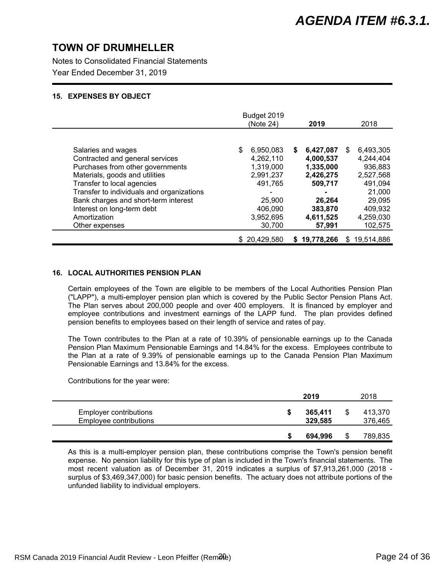Notes to Consolidated Financial Statements

Year Ended December 31, 2019

### **15. EXPENSES BY OBJECT**

|                                           | Budget 2019<br>(Note 24) | 2019           | 2018             |
|-------------------------------------------|--------------------------|----------------|------------------|
|                                           |                          |                |                  |
| Salaries and wages                        | 6,950,083<br>\$          | 6,427,087<br>S | 6,493,305<br>S   |
| Contracted and general services           | 4,262,110                | 4,000,537      | 4,244,404        |
| Purchases from other governments          | 1,319,000                | 1,335,000      | 936,883          |
| Materials, goods and utilities            | 2,991,237                | 2,426,275      | 2,527,568        |
| Transfer to local agencies                | 491,765                  | 509,717        | 491,094          |
| Transfer to individuals and organizations |                          |                | 21,000           |
| Bank charges and short-term interest      | 25,900                   | 26.264         | 29,095           |
| Interest on long-term debt                | 406.090                  | 383,870        | 409,932          |
| Amortization                              | 3,952,695                | 4,611,525      | 4,259,030        |
| Other expenses                            | 30,700                   | 57,991         | 102,575          |
|                                           | \$20,429,580             | \$19,778,266   | 19,514,886<br>S. |

### **16. LOCAL AUTHORITIES PENSION PLAN**

Certain employees of the Town are eligible to be members of the Local Authorities Pension Plan ("LAPP"), a multi-employer pension plan which is covered by the Public Sector Pension Plans Act. The Plan serves about 200,000 people and over 400 employers. It is financed by employer and employee contributions and investment earnings of the LAPP fund. The plan provides defined pension benefits to employees based on their length of service and rates of pay.

The Town contributes to the Plan at a rate of 10.39% of pensionable earnings up to the Canada Pension Plan Maximum Pensionable Earnings and 14.84% for the excess. Employees contribute to the Plan at a rate of 9.39% of pensionable earnings up to the Canada Pension Plan Maximum Pensionable Earnings and 13.84% for the excess.

Contributions for the year were:

|                                                         |   | 2019               | 2018               |
|---------------------------------------------------------|---|--------------------|--------------------|
| <b>Employer contributions</b><br>Employee contributions | S | 365,411<br>329,585 | 413.370<br>376,465 |
|                                                         |   | 694,996            | 789,835            |

As this is a multi-employer pension plan, these contributions comprise the Town's pension benefit expense. No pension liability for this type of plan is included in the Town's financial statements. The most recent valuation as of December 31, 2019 indicates a surplus of \$7,913,261,000 (2018 surplus of \$3,469,347,000) for basic pension benefits. The actuary does not attribute portions of the unfunded liability to individual employers.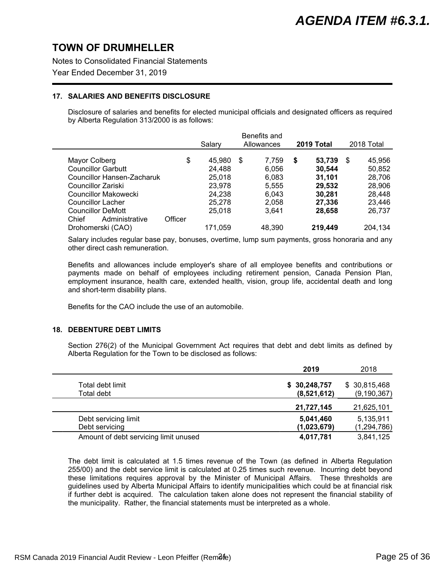Notes to Consolidated Financial Statements

Year Ended December 31, 2019

### **17. SALARIES AND BENEFITS DISCLOSURE**

Disclosure of salaries and benefits for elected municipal officials and designated officers as required by Alberta Regulation 313/2000 is as follows:

|                                                                                             |         | Salary                               | Benefits and<br>Allowances       | 2019 Total                           | 2018 Total                           |
|---------------------------------------------------------------------------------------------|---------|--------------------------------------|----------------------------------|--------------------------------------|--------------------------------------|
| Mayor Colberg<br><b>Councillor Garbutt</b><br>Councillor Hansen-Zacharuk                    | \$      | 45.980<br>24.488<br>25,018           | 7.759<br>- \$<br>6,056<br>6,083  | 53,739<br>\$<br>30,544<br>31,101     | 45,956<br>\$<br>50,852<br>28,706     |
| Councillor Zariski<br>Councillor Makowecki<br>Councillor Lacher<br><b>Councillor DeMott</b> |         | 23,978<br>24,238<br>25,278<br>25.018 | 5,555<br>6,043<br>2,058<br>3,641 | 29,532<br>30.281<br>27,336<br>28,658 | 28,906<br>28,448<br>23,446<br>26,737 |
| Administrative<br>Chief<br>Drohomerski (CAO)                                                | Officer | 171,059                              | 48,390                           | 219,449                              | 204,134                              |

Salary includes regular base pay, bonuses, overtime, lump sum payments, gross honoraria and any other direct cash remuneration.

Benefits and allowances include employer's share of all employee benefits and contributions or payments made on behalf of employees including retirement pension, Canada Pension Plan, employment insurance, health care, extended health, vision, group life, accidental death and long and short-term disability plans.

Benefits for the CAO include the use of an automobile.

### **18. DEBENTURE DEBT LIMITS**

Section 276(2) of the Municipal Government Act requires that debt and debt limits as defined by Alberta Regulation for the Town to be disclosed as follows:

|                                       | 2019         | 2018          |
|---------------------------------------|--------------|---------------|
| Total debt limit                      | \$30,248,757 | \$30,815,468  |
| Total debt                            | (8,521,612)  | (9, 190, 367) |
|                                       | 21,727,145   | 21,625,101    |
| Debt servicing limit                  | 5,041,460    | 5,135,911     |
| Debt servicing                        | (1,023,679)  | (1, 294, 786) |
| Amount of debt servicing limit unused | 4,017,781    | 3,841,125     |

The debt limit is calculated at 1.5 times revenue of the Town (as defined in Alberta Regulation 255/00) and the debt service limit is calculated at 0.25 times such revenue. Incurring debt beyond these limitations requires approval by the Minister of Municipal Affairs. These thresholds are guidelines used by Alberta Municipal Affairs to identify municipalities which could be at financial risk if further debt is acquired. The calculation taken alone does not represent the financial stability of the municipality. Rather, the financial statements must be interpreted as a whole.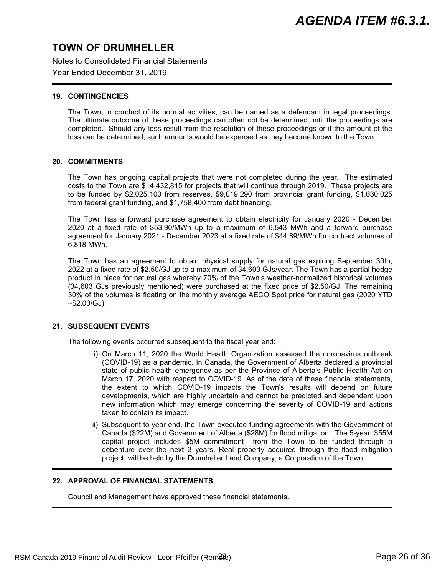Notes to Consolidated Financial Statements

Year Ended December 31, 2019

### **19. CONTINGENCIES**

The Town, in conduct of its normal activities, can be named as a defendant in legal proceedings. The ultimate outcome of these proceedings can often not be determined until the proceedings are completed. Should any loss result from the resolution of these proceedings or if the amount of the loss can be determined, such amounts would be expensed as they become known to the Town.

### **20. COMMITMENTS**

The Town has ongoing capital projects that were not completed during the year. The estimated costs to the Town are \$14,432,815 for projects that will continue through 2019. These projects are to be funded by \$2,025,100 from reserves, \$9,019,290 from provincial grant funding, \$1,630,025 from federal grant funding, and \$1,758,400 from debt financing.

The Town has a forward purchase agreement to obtain electricity for January 2020 - December 2020 at a fixed rate of \$53.90/MWh up to a maximum of 6,543 MWh and a forward purchase agreement for January 2021 - December 2023 at a fixed rate of \$44.89/MWh for contract volumes of 6,818 MWh.

The Town has an agreement to obtain physical supply for natural gas expiring September 30th, 2022 at a fixed rate of \$2.50/GJ up to a maximum of 34,603 GJs/year. The Town has a partial-hedge product in place for natural gas whereby 70% of the Town's weather-normalized historical volumes (34,603 GJs previously mentioned) were purchased at the fixed price of \$2.50/GJ. The remaining 30% of the volumes is floating on the monthly average AECO Spot price for natural gas (2020 YTD  $~52.00$ /GJ).

### **21. SUBSEQUENT EVENTS**

The following events occurred subsequent to the fiscal year end:

- i) On March 11, 2020 the World Health Organization assessed the coronavirus outbreak (COVID-19) as a pandemic. In Canada, the Government of Alberta declared a provincial state of public health emergency as per the Province of Alberta's Public Health Act on March 17, 2020 with respect to COVID-19. As of the date of these financial statements, the extent to which COVID-19 impacts the Town's results will depend on future developments, which are highly uncertain and cannot be predicted and dependent upon new information which may emerge concerning the severity of COVID-19 and actions taken to contain its impact.
- ii) Subsequent to year end, the Town executed funding agreements with the Government of Canada (\$22M) and Government of Alberta (\$28M) for flood mitigation. The 5-year, \$55M capital project includes \$5M commitment from the Town to be funded through a debenture over the next 3 years. Real property acquired through the flood mitigation project will be held by the Drumheller Land Company, a Corporation of the Town.

### **22. APPROVAL OF FINANCIAL STATEMENTS**

Council and Management have approved these financial statements.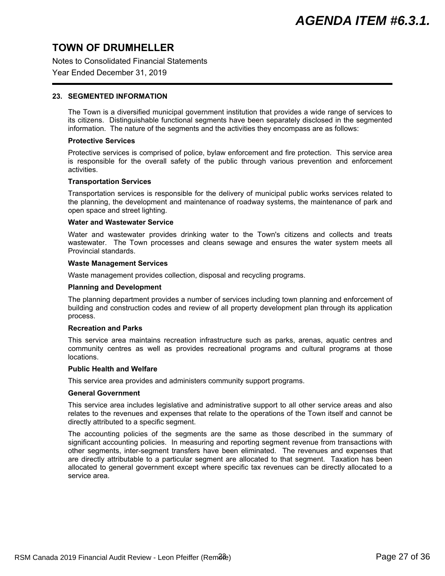Notes to Consolidated Financial Statements

### Year Ended December 31, 2019

#### **23. SEGMENTED INFORMATION**

The Town is a diversified municipal government institution that provides a wide range of services to its citizens. Distinguishable functional segments have been separately disclosed in the segmented information. The nature of the segments and the activities they encompass are as follows:

#### **Protective Services**

Protective services is comprised of police, bylaw enforcement and fire protection. This service area is responsible for the overall safety of the public through various prevention and enforcement activities.

#### **Transportation Services**

Transportation services is responsible for the delivery of municipal public works services related to the planning, the development and maintenance of roadway systems, the maintenance of park and open space and street lighting.

#### **Water and Wastewater Service**

Water and wastewater provides drinking water to the Town's citizens and collects and treats wastewater. The Town processes and cleans sewage and ensures the water system meets all Provincial standards.

#### **Waste Management Services**

Waste management provides collection, disposal and recycling programs.

#### **Planning and Development**

The planning department provides a number of services including town planning and enforcement of building and construction codes and review of all property development plan through its application process.

### **Recreation and Parks**

This service area maintains recreation infrastructure such as parks, arenas, aquatic centres and community centres as well as provides recreational programs and cultural programs at those locations.

#### **Public Health and Welfare**

This service area provides and administers community support programs.

#### **General Government**

This service area includes legislative and administrative support to all other service areas and also relates to the revenues and expenses that relate to the operations of the Town itself and cannot be directly attributed to a specific segment.

The accounting policies of the segments are the same as those described in the summary of significant accounting policies. In measuring and reporting segment revenue from transactions with other segments, inter-segment transfers have been eliminated. The revenues and expenses that are directly attributable to a particular segment are allocated to that segment. Taxation has been allocated to general government except where specific tax revenues can be directly allocated to a service area.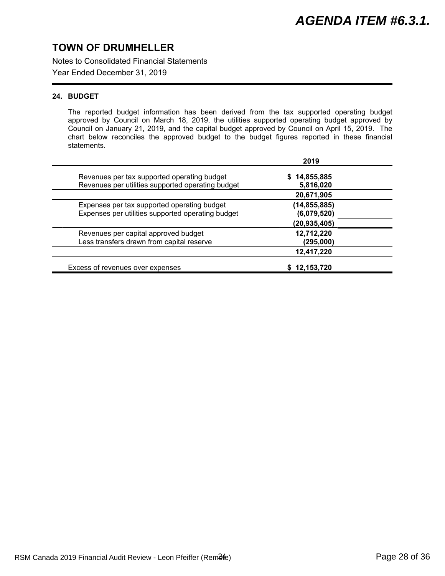Notes to Consolidated Financial Statements

Year Ended December 31, 2019

### **24. BUDGET**

The reported budget information has been derived from the tax supported operating budget approved by Council on March 18, 2019, the utilities supported operating budget approved by Council on January 21, 2019, and the capital budget approved by Council on April 15, 2019. The chart below reconciles the approved budget to the budget figures reported in these financial statements.

|                                                                                                  | 2019                          |
|--------------------------------------------------------------------------------------------------|-------------------------------|
| Revenues per tax supported operating budget<br>Revenues per utilities supported operating budget | 14,855,885<br>S.<br>5,816,020 |
|                                                                                                  | 20,671,905                    |
| Expenses per tax supported operating budget<br>Expenses per utilities supported operating budget | (14, 855, 885)<br>(6,079,520) |
|                                                                                                  | (20, 935, 405)                |
| Revenues per capital approved budget<br>Less transfers drawn from capital reserve                | 12,712,220<br>(295,000)       |
|                                                                                                  | 12,417,220                    |
| Excess of revenues over expenses                                                                 | \$12,153,720                  |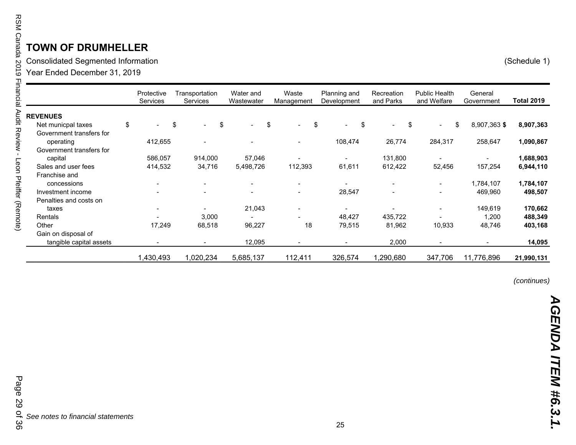Consolidated Se gmented Information (Schedule 1)

Year Ended December 31, 2019

|                          | Protective<br>Services | Transportation<br>Services |     | Water and<br>Wastewater  | Waste<br>Management            | Planning and<br>Development | Recreation<br>and Parks  | <b>Public Health</b><br>and Welfare | General<br>Government | <b>Total 2019</b> |
|--------------------------|------------------------|----------------------------|-----|--------------------------|--------------------------------|-----------------------------|--------------------------|-------------------------------------|-----------------------|-------------------|
| <b>REVENUES</b>          |                        |                            |     |                          |                                |                             |                          |                                     |                       |                   |
| Net municpal taxes       | \$                     | \$<br>$\blacksquare$       | -\$ | $\blacksquare$           | \$<br>$\overline{\phantom{0}}$ | \$<br>\$<br>$\blacksquare$  | $\sim$                   | \$<br>$\blacksquare$                | \$<br>8,907,363 \$    | 8,907,363         |
| Government transfers for |                        |                            |     |                          |                                |                             |                          |                                     |                       |                   |
| operating                | 412,655                |                            |     |                          |                                | 108,474                     | 26,774                   | 284,317                             | 258,647               | 1,090,867         |
| Government transfers for |                        |                            |     |                          |                                |                             |                          |                                     |                       |                   |
| capital                  | 586,057                | 914,000                    |     | 57,046                   |                                |                             | 131,800                  |                                     |                       | 1,688,903         |
| Sales and user fees      | 414,532                | 34,716                     |     | 5,498,726                | 112,393                        | 61,611                      | 612,422                  | 52,456                              | 157,254               | 6,944,110         |
| Franchise and            |                        |                            |     |                          |                                |                             |                          |                                     |                       |                   |
| concessions              |                        | $\overline{\phantom{a}}$   |     | $\overline{\phantom{a}}$ |                                |                             | $\blacksquare$           | $\overline{\phantom{a}}$            | 1,784,107             | 1,784,107         |
| Investment income        |                        | $\overline{\phantom{a}}$   |     | $\overline{\phantom{a}}$ | -                              | 28,547                      | $\overline{\phantom{a}}$ |                                     | 469,960               | 498,507           |
| Penalties and costs on   |                        |                            |     |                          |                                |                             |                          |                                     |                       |                   |
| taxes                    |                        | $\blacksquare$             |     | 21,043                   | -                              |                             |                          | $\blacksquare$                      | 149,619               | 170,662           |
| Rentals                  |                        | 3,000                      |     |                          |                                | 48,427                      | 435,722                  |                                     | 1,200                 | 488,349           |
| Other                    | 17,249                 | 68,518                     |     | 96,227                   | 18                             | 79,515                      | 81,962                   | 10,933                              | 48,746                | 403,168           |
| Gain on disposal of      |                        |                            |     |                          |                                |                             |                          |                                     |                       |                   |
| tangible capital assets  |                        |                            |     | 12,095                   |                                |                             | 2,000                    |                                     |                       | 14,095            |
|                          | 1,430,493              | 1,020,234                  |     | 5,685,137                | 112,411                        | 326,574                     | 1,290,680                | 347,706                             | 11,776,896            | 21,990,131        |

*(continues)*

Page 29 of 36 Page 29 of 36*See notes to financial statements*

25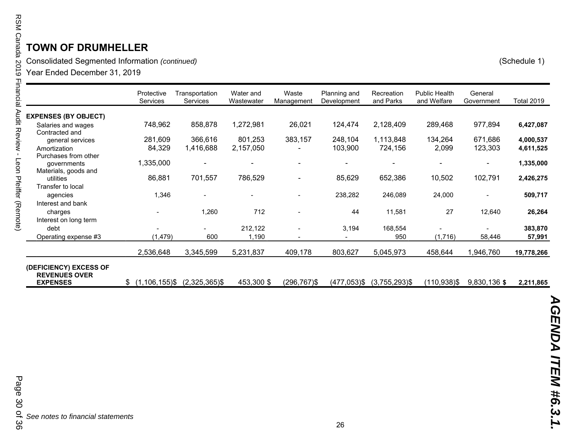| RSM Canada 2019        | <b>OWN OF DRUMHELLER</b><br>Consolidated Segmented Information (continued)<br>Year Ended December 31, 2019 |                          |                            |                         |                     |                             |                         |                                     |                       | (Schedule 1)      |
|------------------------|------------------------------------------------------------------------------------------------------------|--------------------------|----------------------------|-------------------------|---------------------|-----------------------------|-------------------------|-------------------------------------|-----------------------|-------------------|
| Financial Audit Keylew |                                                                                                            | Protective<br>Services   | Transportation<br>Services | Water and<br>Wastewater | Waste<br>Management | Planning and<br>Development | Recreation<br>and Parks | <b>Public Health</b><br>and Welfare | General<br>Government | <b>Total 2019</b> |
|                        | <b>EXPENSES (BY OBJECT)</b>                                                                                |                          |                            |                         |                     |                             |                         |                                     |                       |                   |
|                        | Salaries and wages<br>Contracted and                                                                       | 748,962                  | 858,878                    | 1,272,981               | 26,021              | 124,474                     | 2,128,409               | 289,468                             | 977,894               | 6,427,087         |
|                        | general services                                                                                           | 281,609                  | 366,616                    | 801,253                 | 383,157             | 248,104                     | 1,113,848               | 134,264                             | 671,686               | 4,000,537         |
| $\blacksquare$         | Amortization                                                                                               | 84,329                   | 1,416,688                  | 2,157,050               |                     | 103,900                     | 724,156                 | 2,099                               | 123,303               | 4,611,525         |
| Leon Pfeiffer (Remote) | Purchases from other<br>governments<br>Materials, goods and                                                | 1,335,000                |                            |                         |                     |                             |                         |                                     |                       | 1,335,000         |
|                        | utilities                                                                                                  | 86,881                   | 701,557                    | 786,529                 |                     | 85,629                      | 652,386                 | 10,502                              | 102,791               | 2,426,275         |
|                        | Transfer to local<br>agencies                                                                              | 1,346                    |                            |                         |                     | 238,282                     | 246,089                 | 24,000                              |                       | 509,717           |
|                        | Interest and bank                                                                                          |                          |                            |                         |                     |                             |                         |                                     |                       |                   |
|                        | charges                                                                                                    |                          | 1,260                      | 712                     |                     | 44                          | 11,581                  | 27                                  | 12,640                | 26,264            |
|                        | Interest on long term                                                                                      |                          |                            |                         |                     |                             |                         |                                     |                       |                   |
|                        | debt                                                                                                       |                          |                            | 212,122                 |                     | 3,194                       | 168,554                 |                                     |                       | 383,870           |
|                        | Operating expense #3                                                                                       | (1, 479)                 | 600                        | 1,190                   |                     |                             | 950                     | (1,716)                             | 58,446                | 57,991            |
|                        |                                                                                                            | 2,536,648                | 3,345,599                  | 5,231,837               | 409,178             | 803,627                     | 5,045,973               | 458,644                             | 1,946,760             | 19,778,266        |
|                        | (DEFICIENCY) EXCESS OF<br><b>REVENUES OVER</b><br><b>EXPENSES</b>                                          | $(1, 106, 155)$ \$<br>\$ | $(2,325,365)$ \$           | 453,300 \$              | $(296, 767)$ \$     | $(477, 053)$ \$             | $(3,755,293)$ \$        | $(110, 938)$ \$                     | 9,830,136 \$          | 2,211,865         |

26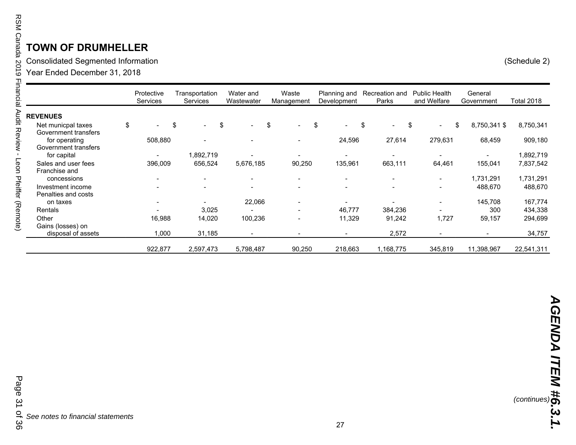Consolidated Se gmented Information (Schedule 2)

Year Ended December 31, 2018

|                      | Protective<br>Services | Transportation<br><b>Services</b> | Water and<br>Wastewater  | Waste<br>Management | Planning and<br>Development | Recreation and<br>Parks        | <b>Public Health</b><br>and Welfare | General<br>Government | <b>Total 2018</b> |
|----------------------|------------------------|-----------------------------------|--------------------------|---------------------|-----------------------------|--------------------------------|-------------------------------------|-----------------------|-------------------|
| <b>REVENUES</b>      |                        |                                   |                          |                     |                             |                                |                                     |                       |                   |
| Net municpal taxes   | \$                     | \$<br>$\overline{\phantom{0}}$    | \$<br>$\sim$             | \$                  | \$<br>$\sim$                | \$<br>$\overline{\phantom{0}}$ | \$<br>$\overline{\phantom{0}}$      | \$<br>8,750,341 \$    | 8,750,341         |
| Government transfers |                        |                                   |                          |                     |                             |                                |                                     |                       |                   |
| for operating        | 508,880                | $\overline{\phantom{a}}$          |                          |                     | 24,596                      | 27,614                         | 279,631                             | 68,459                | 909,180           |
| Government transfers |                        |                                   |                          |                     |                             |                                |                                     |                       |                   |
| for capital          |                        | 1,892,719                         |                          |                     |                             | $\overline{\phantom{a}}$       |                                     |                       | 1,892,719         |
| Sales and user fees  | 396,009                | 656,524                           | 5,676,185                | 90,250              | 135,961                     | 663,111                        | 64,461                              | 155,041               | 7,837,542         |
| Franchise and        |                        |                                   |                          |                     |                             |                                |                                     |                       |                   |
| concessions          |                        | $\overline{\phantom{a}}$          | $\sim$                   |                     | $\overline{\phantom{0}}$    | $\overline{\phantom{0}}$       | $\blacksquare$                      | 1,731,291             | 1,731,291         |
| Investment income    |                        |                                   | $\overline{\phantom{a}}$ |                     |                             |                                |                                     | 488,670               | 488,670           |
| Penalties and costs  |                        |                                   |                          |                     |                             |                                |                                     |                       |                   |
| on taxes             |                        |                                   | 22,066                   |                     |                             |                                | $\overline{\phantom{0}}$            | 145,708               | 167,774           |
| Rentals              |                        | 3,025                             |                          |                     | 46,777                      | 384,236                        | $\overline{\phantom{0}}$            | 300                   | 434,338           |
| Other                | 16,988                 | 14,020                            | 100,236                  |                     | 11,329                      | 91,242                         | 1,727                               | 59,157                | 294,699           |
| Gains (losses) on    |                        |                                   |                          |                     |                             |                                |                                     |                       |                   |
| disposal of assets   | 1,000                  | 31,185                            |                          |                     |                             | 2,572                          |                                     | $\blacksquare$        | 34,757            |
|                      | 922,877                | 2,597,473                         | 5,798,487                | 90,250              | 218,663                     | .168,775                       | 345,819                             | 11,398,967            | 22,541,311        |

*See notes to financial statements*

27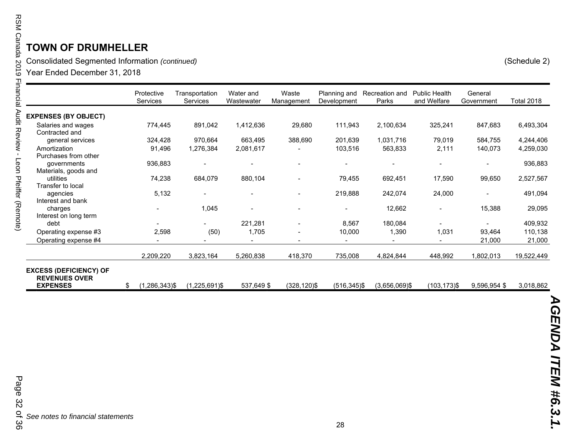Consolidated Se gmented Information *(continued)* (Schedule 2)

Year Ended December 31, 2018

|                                                                          | Protective<br>Services | Transportation<br><b>Services</b> | Water and<br>Wastewater  | Waste<br>Management      | Planning and<br>Development | Recreation and<br>Parks | <b>Public Health</b><br>and Welfare | General<br>Government | <b>Total 2018</b> |
|--------------------------------------------------------------------------|------------------------|-----------------------------------|--------------------------|--------------------------|-----------------------------|-------------------------|-------------------------------------|-----------------------|-------------------|
| <b>EXPENSES (BY OBJECT)</b>                                              |                        |                                   |                          |                          |                             |                         |                                     |                       |                   |
| Salaries and wages<br>Contracted and                                     | 774,445                | 891,042                           | 1,412,636                | 29,680                   | 111,943                     | 2,100,634               | 325,241                             | 847,683               | 6,493,304         |
| general services                                                         | 324,428                | 970,664                           | 663,495                  | 388,690                  | 201,639                     | 1,031,716               | 79,019                              | 584,755               | 4,244,406         |
| Amortization                                                             | 91,496                 | 1,276,384                         | 2,081,617                |                          | 103,516                     | 563,833                 | 2,111                               | 140,073               | 4,259,030         |
| Purchases from other                                                     |                        |                                   |                          |                          |                             |                         |                                     |                       |                   |
| governments                                                              | 936,883                |                                   | $\overline{\phantom{a}}$ |                          |                             | $\blacksquare$          |                                     |                       | 936,883           |
| Materials, goods and                                                     |                        |                                   |                          |                          |                             |                         |                                     |                       |                   |
| utilities                                                                | 74,238                 | 684,079                           | 880,104                  |                          | 79,455                      | 692,451                 | 17,590                              | 99,650                | 2,527,567         |
| Transfer to local                                                        |                        |                                   |                          |                          |                             |                         |                                     |                       |                   |
| agencies                                                                 | 5,132                  |                                   | $\blacksquare$           | $\blacksquare$           | 219,888                     | 242,074                 | 24,000                              | $\blacksquare$        | 491,094           |
| Interest and bank                                                        |                        |                                   |                          |                          |                             |                         |                                     |                       |                   |
| charges                                                                  |                        | 1,045                             | $\blacksquare$           |                          |                             | 12,662                  | $\blacksquare$                      | 15,388                | 29,095            |
| Interest on long term                                                    |                        |                                   |                          |                          |                             |                         |                                     |                       |                   |
| debt                                                                     |                        |                                   | 221,281                  |                          | 8,567                       | 180,084                 | $\blacksquare$                      |                       | 409,932           |
| Operating expense #3                                                     | 2,598                  | (50)                              | 1,705                    | $\overline{\phantom{a}}$ | 10,000                      | 1,390                   | 1,031                               | 93,464                | 110,138           |
| Operating expense #4                                                     |                        |                                   |                          | $\overline{\phantom{a}}$ |                             | $\blacksquare$          |                                     | 21,000                | 21,000            |
|                                                                          | 2,209,220              | 3,823,164                         | 5,260,838                | 418,370                  | 735,008                     | 4,824,844               | 448,992                             | 1,802,013             | 19,522,449        |
| <b>EXCESS (DEFICIENCY) OF</b><br><b>REVENUES OVER</b><br><b>EXPENSES</b> | $(1,286,343)$ \$<br>\$ | $(1,225,691)$ \$                  | 537,649 \$               | (328,120)\$              | $(516, 345)$ \$             | $(3,656,069)$ \$        | $(103, 173)$ \$                     | 9,596,954 \$          | 3,018,862         |

*See notes to financial statements*

Page 32 of 36 Page 32 of 36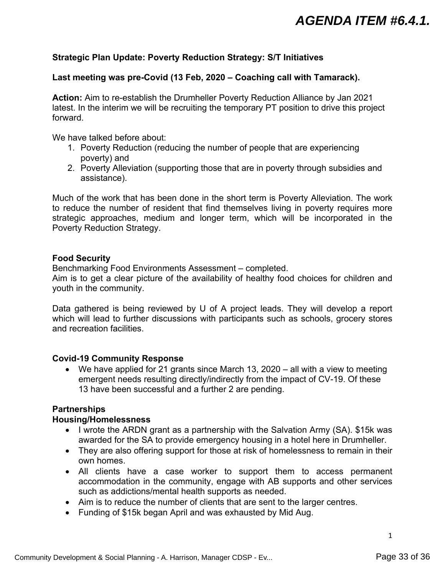### <span id="page-32-0"></span>**Strategic Plan Update: Poverty Reduction Strategy: S/T Initiatives**

### **Last meeting was pre-Covid (13 Feb, 2020 – Coaching call with Tamarack).**

**Action:** Aim to re-establish the Drumheller Poverty Reduction Alliance by Jan 2021 latest. In the interim we will be recruiting the temporary PT position to drive this project forward.

We have talked before about:

- 1. Poverty Reduction (reducing the number of people that are experiencing poverty) and
- 2. Poverty Alleviation (supporting those that are in poverty through subsidies and assistance).

Much of the work that has been done in the short term is Poverty Alleviation. The work to reduce the number of resident that find themselves living in poverty requires more strategic approaches, medium and longer term, which will be incorporated in the Poverty Reduction Strategy.

### **Food Security**

Benchmarking Food Environments Assessment – completed.

Aim is to get a clear picture of the availability of healthy food choices for children and youth in the community.

Data gathered is being reviewed by U of A project leads. They will develop a report which will lead to further discussions with participants such as schools, grocery stores and recreation facilities.

### **Covid-19 Community Response**

 We have applied for 21 grants since March 13, 2020 – all with a view to meeting emergent needs resulting directly/indirectly from the impact of CV-19. Of these 13 have been successful and a further 2 are pending.

# **Partnerships**

### **Housing/Homelessness**

- I wrote the ARDN grant as a partnership with the Salvation Army (SA). \$15k was awarded for the SA to provide emergency housing in a hotel here in Drumheller.
- They are also offering support for those at risk of homelessness to remain in their own homes.
- All clients have a case worker to support them to access permanent accommodation in the community, engage with AB supports and other services such as addictions/mental health supports as needed.
- Aim is to reduce the number of clients that are sent to the larger centres.
- Funding of \$15k began April and was exhausted by Mid Aug.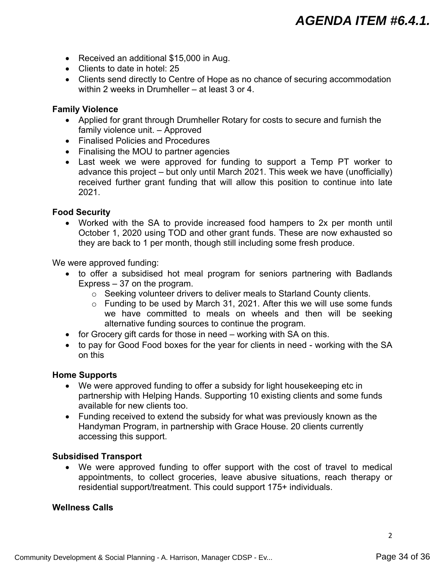- Received an additional \$15,000 in Aug.
- Clients to date in hotel: 25
- Clients send directly to Centre of Hope as no chance of securing accommodation within 2 weeks in Drumheller – at least 3 or 4

### **Family Violence**

- Applied for grant through Drumheller Rotary for costs to secure and furnish the family violence unit. – Approved
- Finalised Policies and Procedures
- Finalising the MOU to partner agencies
- Last week we were approved for funding to support a Temp PT worker to advance this project – but only until March 2021. This week we have (unofficially) received further grant funding that will allow this position to continue into late 2021.

### **Food Security**

 Worked with the SA to provide increased food hampers to 2x per month until October 1, 2020 using TOD and other grant funds. These are now exhausted so they are back to 1 per month, though still including some fresh produce.

We were approved funding:

- to offer a subsidised hot meal program for seniors partnering with Badlands Express – 37 on the program.
	- o Seeking volunteer drivers to deliver meals to Starland County clients.
	- o Funding to be used by March 31, 2021. After this we will use some funds we have committed to meals on wheels and then will be seeking alternative funding sources to continue the program.
- for Grocery gift cards for those in need working with SA on this.
- to pay for Good Food boxes for the year for clients in need working with the SA on this

### **Home Supports**

- We were approved funding to offer a subsidy for light housekeeping etc in partnership with Helping Hands. Supporting 10 existing clients and some funds available for new clients too.
- Funding received to extend the subsidy for what was previously known as the Handyman Program, in partnership with Grace House. 20 clients currently accessing this support.

### **Subsidised Transport**

 We were approved funding to offer support with the cost of travel to medical appointments, to collect groceries, leave abusive situations, reach therapy or residential support/treatment. This could support 175+ individuals.

### **Wellness Calls**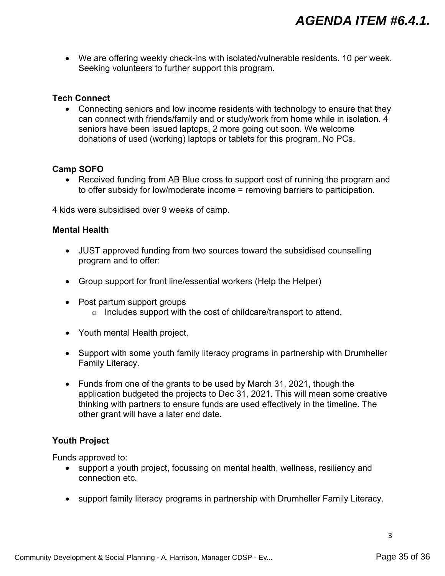We are offering weekly check-ins with isolated/vulnerable residents. 10 per week. Seeking volunteers to further support this program.

### **Tech Connect**

• Connecting seniors and low income residents with technology to ensure that they can connect with friends/family and or study/work from home while in isolation. 4 seniors have been issued laptops, 2 more going out soon. We welcome donations of used (working) laptops or tablets for this program. No PCs.

### **Camp SOFO**

• Received funding from AB Blue cross to support cost of running the program and to offer subsidy for low/moderate income = removing barriers to participation.

4 kids were subsidised over 9 weeks of camp.

### **Mental Health**

- JUST approved funding from two sources toward the subsidised counselling program and to offer:
- Group support for front line/essential workers (Help the Helper)
- Post partum support groups o Includes support with the cost of childcare/transport to attend.
- Youth mental Health project.
- Support with some youth family literacy programs in partnership with Drumheller Family Literacy.
- Funds from one of the grants to be used by March 31, 2021, though the application budgeted the projects to Dec 31, 2021. This will mean some creative thinking with partners to ensure funds are used effectively in the timeline. The other grant will have a later end date.

### **Youth Project**

Funds approved to:

- support a youth project, focussing on mental health, wellness, resiliency and connection etc.
- support family literacy programs in partnership with Drumheller Family Literacy.